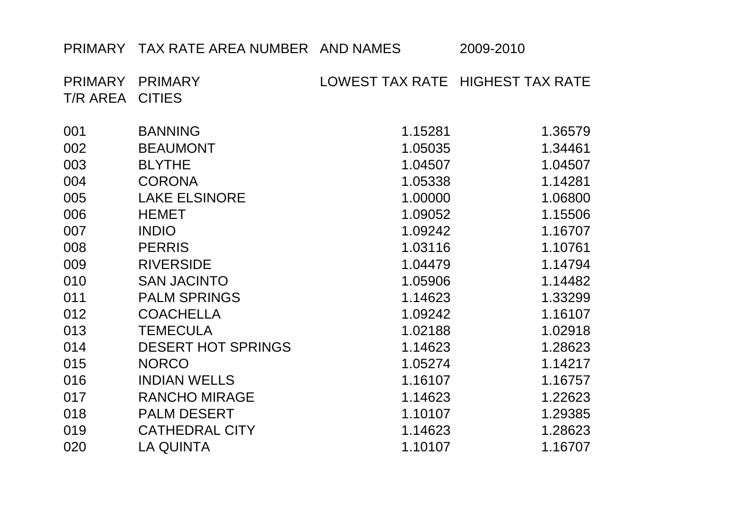## PRIMARY TAX RATE AREA NUMBER AND NAMES 2009-2010

| PRIMARY<br>T/R AREA | <b>PRIMARY</b><br><b>CITIES</b> |         | LOWEST TAX RATE HIGHEST TAX RATE |
|---------------------|---------------------------------|---------|----------------------------------|
|                     |                                 |         |                                  |
| 001                 | <b>BANNING</b>                  | 1.15281 | 1.36579                          |
| 002                 | <b>BEAUMONT</b>                 | 1.05035 | 1.34461                          |
| 003                 | <b>BLYTHE</b>                   | 1.04507 | 1.04507                          |
| 004                 | <b>CORONA</b>                   | 1.05338 | 1.14281                          |
| 005                 | <b>LAKE ELSINORE</b>            | 1.00000 | 1.06800                          |
| 006                 | <b>HEMET</b>                    | 1.09052 | 1.15506                          |
| 007                 | <b>INDIO</b>                    | 1.09242 | 1.16707                          |
| 008                 | <b>PERRIS</b>                   | 1.03116 | 1.10761                          |
| 009                 | <b>RIVERSIDE</b>                | 1.04479 | 1.14794                          |
| 010                 | <b>SAN JACINTO</b>              | 1.05906 | 1.14482                          |
| 011                 | <b>PALM SPRINGS</b>             | 1.14623 | 1.33299                          |
| 012                 | <b>COACHELLA</b>                | 1.09242 | 1.16107                          |
| 013                 | <b>TEMECULA</b>                 | 1.02188 | 1.02918                          |
| 014                 | <b>DESERT HOT SPRINGS</b>       | 1.14623 | 1.28623                          |
| 015                 | <b>NORCO</b>                    | 1.05274 | 1.14217                          |
| 016                 | <b>INDIAN WELLS</b>             | 1.16107 | 1.16757                          |
| 017                 | <b>RANCHO MIRAGE</b>            | 1.14623 | 1.22623                          |
| 018                 | <b>PALM DESERT</b>              | 1.10107 | 1.29385                          |
| 019                 | <b>CATHEDRAL CITY</b>           | 1.14623 | 1.28623                          |
| 020                 | <b>LA QUINTA</b>                | 1.10107 | 1.16707                          |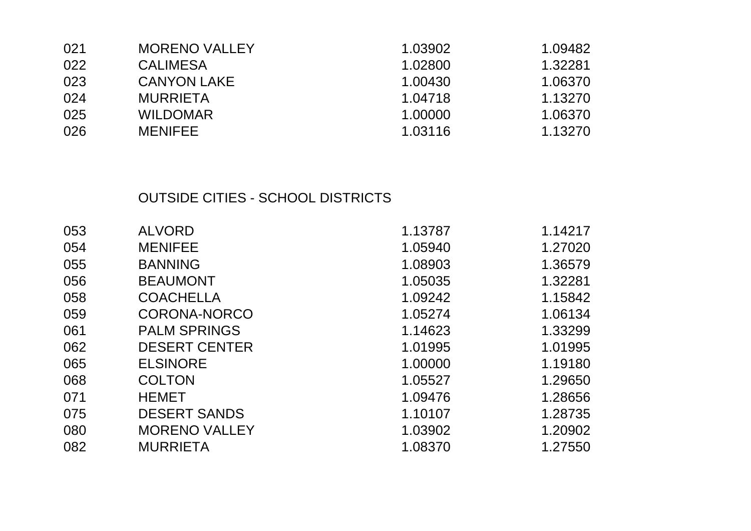| 021 | <b>MORENO VALLEY</b> | 1.03902 | 1.09482 |
|-----|----------------------|---------|---------|
| 022 | <b>CALIMESA</b>      | 1.02800 | 1.32281 |
| 023 | <b>CANYON LAKE</b>   | 1.00430 | 1.06370 |
| 024 | <b>MURRIETA</b>      | 1.04718 | 1.13270 |
| 025 | <b>WILDOMAR</b>      | 1.00000 | 1.06370 |
| 026 | <b>MENIFEE</b>       | 1.03116 | 1.13270 |

## OUTSIDE CITIES - SCHOOL DISTRICTS

| 053 | <b>ALVORD</b>        | 1.13787 | 1.14217 |
|-----|----------------------|---------|---------|
| 054 | <b>MENIFEE</b>       | 1.05940 | 1.27020 |
| 055 | <b>BANNING</b>       | 1.08903 | 1.36579 |
| 056 | <b>BEAUMONT</b>      | 1.05035 | 1.32281 |
| 058 | <b>COACHELLA</b>     | 1.09242 | 1.15842 |
| 059 | <b>CORONA-NORCO</b>  | 1.05274 | 1.06134 |
| 061 | <b>PALM SPRINGS</b>  | 1.14623 | 1.33299 |
| 062 | <b>DESERT CENTER</b> | 1.01995 | 1.01995 |
| 065 | <b>ELSINORE</b>      | 1.00000 | 1.19180 |
| 068 | <b>COLTON</b>        | 1.05527 | 1.29650 |
| 071 | <b>HEMET</b>         | 1.09476 | 1.28656 |
| 075 | <b>DESERT SANDS</b>  | 1.10107 | 1.28735 |
| 080 | <b>MORENO VALLEY</b> | 1.03902 | 1.20902 |
| 082 | <b>MURRIETA</b>      | 1.08370 | 1.27550 |